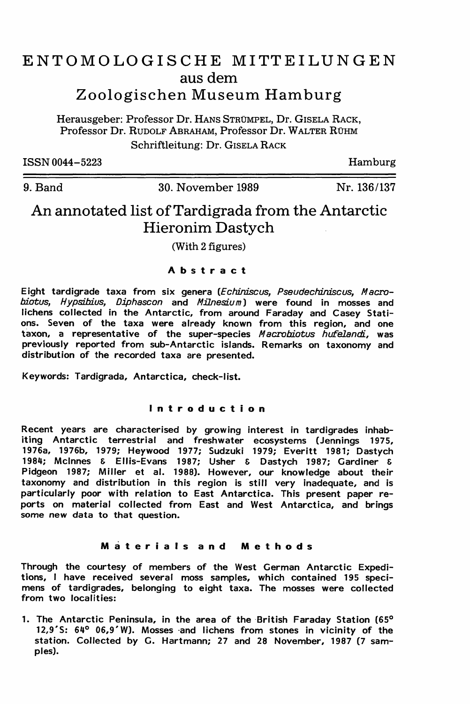# ENTOMOLOGISCHE MITTEILUNGEN aus dem Zoologischen Museum Hamburg

Herausgeber: Professor Dr. HANS STRUMPEL, Dr. GISELA RACK, Professor Dr. RUDOLF ABRAHAM, Professor Dr. WALTER RUHM Schriftleitung: Dr. GISELA RACK

ISSN 0044-5223

Hamburg

9. Band 30. November 1989

Nr. 136/137

# An annotated list ofTardigrada from the Antarctic Hieronim Dastych

(With 2 figures)

# Abstract

Eight tardigrade taxa from six genera (Echiniscus, Pseudechiniscus, Macrobiotus, Hypsibius, Diphascon and Milnesium) were found in mosses and lichens collected in the Antarctic, from around Faraday and Casey Stations. Seven of the taxa were already known from this region, and one taxon, a representative of the super-species Macrobiotus hufelandi, was previously reported from sub-Antarctic islands. Remarks on taxonomy and distribution of the recorded taxa are presented.

Keywords: Tardigrada, Antarctica, check-list.

# Introduction

Recent years are characterised by growing interest in tardigrades inhabiting Antarctic terrestrial and freshwater ecosystems (Jennings 1975, 1976a, 1976b, 1979; Heywood 1977; Sudzuki 1979; Everitt 1981; Dastych 1984; Mclnnes & Ellis-Evans 1987; Usher & Dastych 1987; Gardiner & Pidgeon 1987; Miller et al. 1988). However, our knowledge about their taxonomy and distribution in this region is still very inadequate, and is particularly poor with relation to East Antarctica. This present paper reports on material collected from East and West Antarctica, and brings some new data to that question.

# Materials and Methods

Through the courtesy of members of the West German Antarctic Expeditions, I have received several moss samples, which contained 195 specimens of tardigrades, belonging to eight taxa. The mosses were collected from two localities:

1. The Antarctic Peninsula, in the area of the British Faraday Station (65° 12,9'5: 640 06,9' W). Mosses ·and lichens from stones in vicinity of the station. Collected by G. Hartmann; 27 and 28 November, 1987 (7 samples).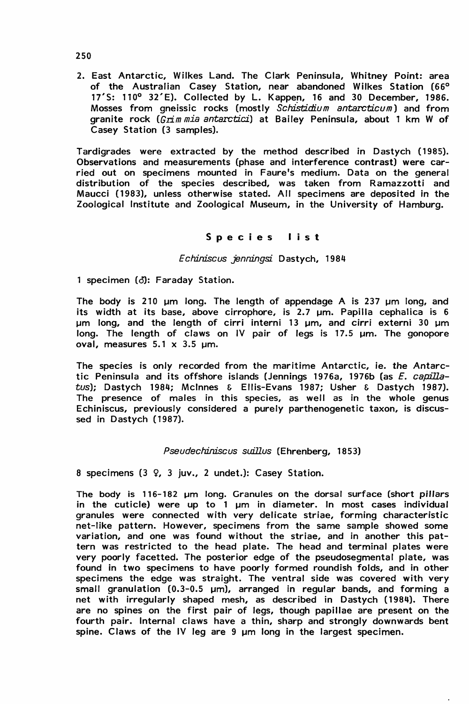2. East Antarctic, Wilkes Land. The Clark Peninsula, Whitney Point: area of the Australian Casey Station, near abandoned Wilkes Station (66° 17'S: 110° 32'E). Collected by L. Kappen, 16 and 30 December, 1986. Mosses from gneissic rocks (mostly *Schistidium antarcticum)* and from granite rock *(Grim mia antarctici)* at Bailey Peninsula, about 1 km W of Casey Station (3 samples).

Tardigrades were extracted by the method described in Dastych (1985). Observations and measurements (phase and interference contrast) were carried out on specimens mounted in Faure's medium. Data on the general distribution of the species described, was taken from Ramazzotti and Maucci (1983), unless otherwise stated. All specimens are deposited in the Zoological Institute and Zoological Museum, in the University of Hamburg.

### Species lis <sup>t</sup>

#### Echiniscus jenningsi Dastych, 1984

1 specimen (d): Faraday Station.

The body is 210 um long. The length of appendage A is 237 um long, and its width at its base, above cirrophore, is 2.7 um. Papilla cephalica is 6  $µm$  long, and the length of cirri interni 13  $µm$ , and cirri externi 30  $µm$ long. The length of claws on IV pair of legs is 17.5 µm. The gonopore oval, measures  $5.1 \times 3.5$  um.

The species is only recorded from the maritime Antarctic, ie. *the* Antarctic Peninsula and its offshore islands (Jennings 1976a, 1976b (as *E. capilla*tus); Dastych 1984; Mclnnes & Ellis-Evans 1987; Usher & Dastych 1987). The presence of males in this species, as well as in the whole genus Echiniscus, previously considered a purely parthenogenetic taxon, is discussed in Dastych (1987).

# Pseudechiniscus suillus (Ehrenberg, 1853)

8 specimens (3 Q, 3 juv., 2 undet.): Casey Station.

The body is 116-182 um long. Granules on the dorsal surface (short pillars in the cuticle) were up to  $1 \mu m$  in diameter. In most cases individual granules were connected with very delicate striae, forming characteristic net-like pattern. However, specimens from the same sample showed some variation, and one was found without the striae, and in another this pattern was restricted to the head plate. The head and terminal plates were very poorly facetted. The posterior edge of the pseudosegmental plate, was found in two specimens to have poorly formed roundish folds, and in other specimens the edge was straight. The ventral side was covered with very small granulation  $(0.3-0.5 \mu m)$ , arranged in regular bands, and forming a net with irregularly shaped mesh, as described in Dastych (1984). There are no spines on the first pair of legs, though papillae are present on the fourth pair. Internal claws have a thin, sharp and strongly downwards bent spine. Claws of the IV leg are  $9 \mu m$  long in the largest specimen.

250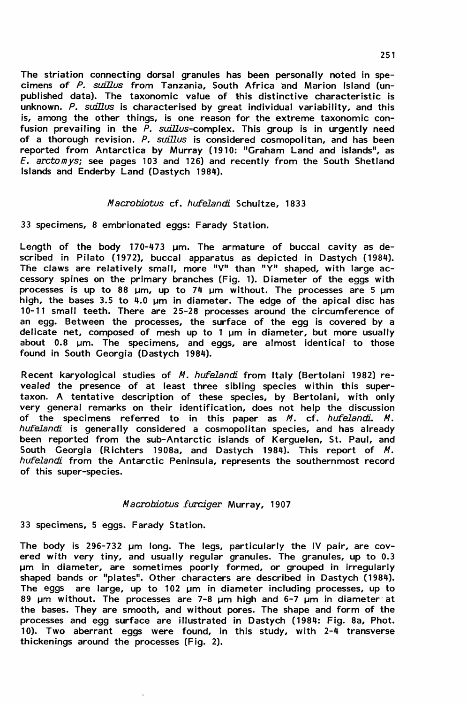The striation connecting dorsal granules has been personally noted in spe-cimens of P. suillus from Tanzania, South Africa and Marion Island (unpublished data). The taxonomic value of this distinctive characteristic is unknown. P. suillus is characterised by great individual variability, and this is, among the other things, is one reason for the extreme taxonomic confusion prevailing in the *P. suillus*-complex. This group is in urgently need of a thorough revision. P. suillus is considered cosmopolitan, and has been reported from Antarctica by Murray (1910: "Graham Land and islands", as *E. arctomys;* see pages 103 and 126) and recently from the South Shetland Islands and Enderby Land (Dastych 1984).

# Macrobiotus cf. hufelandi Schultze, 1833

33 specimens, 8 embrionated eggs: Farady Station.

Length of the body 170-473 um. The armature of buccal cavity as described in Pilato (1972), buccal apparatus as depicted in Dastych (1984).<br>The claws are relatively small, more "V" than "Y" shaped, with large accessory spines on the primary branches (Fig. 1). Diameter of the eggs with processes is up to 88  $\mu$ m, up to 74  $\mu$ m without. The processes are 5  $\mu$ m high, the bases 3.5 to 4.0  $\mu$ m in diameter. The edge of the apical disc has 10-11 small teeth. There are 25-28 processes around the circumference of an egg. Between the processes, the surface of the egg is covered by a delicate net, composed of mesh up to 1 um in diameter, but more usually about 0.8  $\mu$ m. The specimens, and eggs, are almost identical to those found in South Georgia (Dastych 1984).

Recent karyological studies of *M. hufelandi* from Italy (Bertolani 1982) revealed the presence of at least three sibling species within this supertaxon. A tentative description of these species, by Bertolani, with only very general remarks on their identification, does not help the discussion of the specimens referred to in this paper as M. cf. h*ufelandi. M* hufelandi is generally considered a cosmopolitan species, and has already been reported from the sub-Antarctic islands of Kerguelen, St. Paul, and South Georgia (Richters 1908a, and Dastych 1984). This report of  $M$ hufelandi from the Antarctic Peninsula, represents the southernmost record of this super-species.

# Macrobiotus furciger Murray, 1907

33 specimens, 5 eggs. Farady Station.

The body is 296-732 um long. The legs, particularly the IV pair, are covered with very tiny, and usually regular granules. The granules, up to 0.3 µm in diameter, are sometimes poorly formed, or grouped in irregularly shaped bands or "plates". Other characters are described in Dastych (1984). The eggs are large, up to 102 um in diameter including processes, up to 89 um without. The processes are 7-8 um high and 6-7 um in diameter at the bases. They are smooth, and without pores. The shape and form of the processes and egg surface are illustrated in Dastych (1984: Fig. 8a, Phot. 10). Two aberrant eggs were found, in this study, with 2-4 transverse thickenings around the processes (Fig. 2).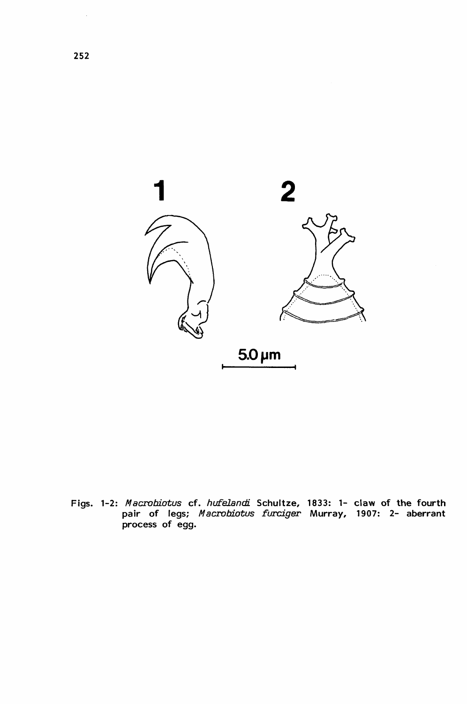

Figs. 1-2: Macrobiotus cf. hufelandi Schultze, 1833: 1- claw of the fourth pair of legs; *Macrobiotus furciger* Murray, 1907: 2- ab<mark>err</mark>ant process of egg.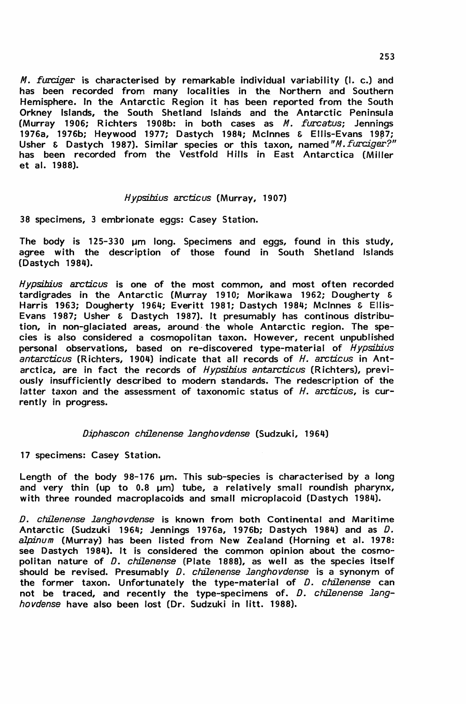M. furciger is characterised by remarkable individual variability (I. c.) and has been recorded from many localities in the Northern and Southern Hemisphere. In the Antarctic Region it has been reported from the South Orkney Islands, the South Shetland Islands and the Antarctic Peninsula (Murray 1906; Richters 1908b: in both cases as M. furcatus; Jennings 1976a, 1976b; Heywood 1977; Dastych 1984; McInnes & Ellis-Evans 1987; Usher & Dastych 1987). Similar species or this taxon, named*"M. furciger?"* has been recorded from the Vestfold Hills in East Antarctica (Miller et al. 1988).

#### Hypsibius arcticus (Murray, 1907)

38 specimens, 3 embrionate eggs: Casey Station.

The body is 125–330 µm long. Specimens and eggs, found in this study, agree with the description of those found in South Shetland Islands (Dastych 1984).

Hypsibius arcticus is one of the most common, and most often recorded tardigrades in the Antarctic (Murray 1910; Morikawa 1962; Dougherty & Harris 1963; Dougherty 1964; Everitt 1981; Dastych 1984; Mclnnes & Ellis-Evans 1987; Usher & Dastych 1987). It presumably has continous distribution, in non-glaciated areas, around· the whole Antarctic region. The species is also considered a cosmopolitan taxon. However, recent unpublished personal observations, based on re-discovered type-material of *Hypsibius* antarcticus (R ichters, 1904) indicate that all records of H. arcticus in Antarctica, are in fact the records of Hypsibius antarcticus (Richters), previously insufficiently described to modern standards. The redescription of the latter taxon and the assessment of taxonomic status of H. arcticus, is currently in progress.

#### Diphascon chilenense langhovdense (Sudzuki, 1964)

17 specimens: Casey Station.

Length of the body 98-176 um. This sub-species is characterised by a long and very thin (up to  $0.8$  µm) tube, a relatively small roundish pharynx, with three rounded macroplacoids and small microplacoid (Dastych 1984).

.D. chilenense langhovdense is known from both Continental and Maritime Antarctic (Sudzuki 1964; Jennings 1976a, 1976b; Dastych 1984) and as D. *alpinum* (Murray) has been listed from New Zealand (Horning et al. 1978: see Dastych 1984). It is considered the common opinion about the cosmopolitan nature of D. chilenense (Plate 1888), as well as the species itself should be revised. Presumably D. chilenense langhovdense is a synonym of the former taxon. Unfortunately the type-material of  $D$ . chilenense can not be traced, and recently the type-specimens of. D. chilenense langhovdense have also been lost (Dr. Sudzuki in litt. 1988).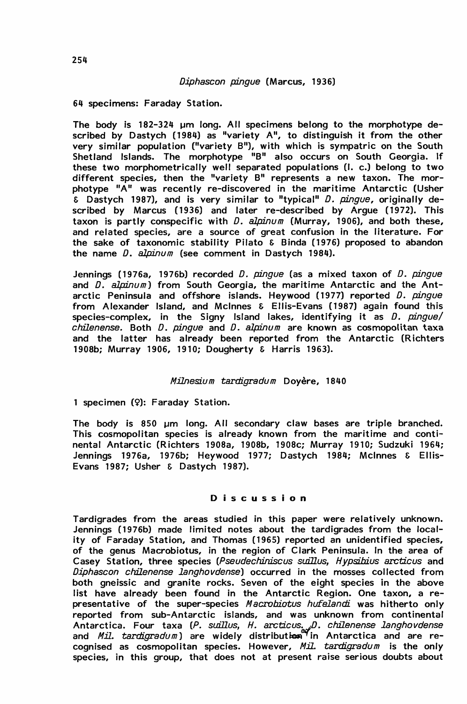# Diphascon pingue (Marcus, 1936)

64 specimens: Faraday Station.

The body is 182-324 um long. All specimens belong to the morphotype described by Dastych (1984) as "variety A", to distinguish it from the other very similar population ("variety B"), with which is sympatric on the South Shetland Islands. The morphotype "B" also occurs on South Georgia. If these two morphometrically well separated populations (I. c.) belong to two different species, then the "variety B" represents a new taxon. The morphotype "A" was recently re-discovered in the maritime Antarctic (Usher  $\overline{\epsilon}$  Dastych 1987), and is very similar to "typical" D. pingue, originally described by Marcus (1936) and later re-described by Argue (1972). This taxon is partly conspecific with  $D.$  alpinum (Murray, 1906), and both these, and related species, are a source of great confusion in the literature. For the sake of taxonomic stability Pilato & Binda (1976) proposed to abandon the name  $D$ . alpinum (see comment in Dastych 1984).

Jennings (1976a, 1976b) recorded D. pingue (as a mixed taxon of D. pingue and  $\overline{D}$ . alpinum) from South Georgia, the maritime Antarctic and the Antarctic Peninsula and offshore islands. Heywood (1977) reported  $D$ .  $\mu \rightarrow$ from Alexander Island, and Mclnnes & Ellis-Evans (1987) again found this species-complex, in the Signy Island lakes, identifying it as D. pingue/ chilenense. Both D. pingue and D. alpinum are known as cosmopolitan taxa and the latter has already been reported from the Antarctic (Richters 1908b; Murray 1906, 1910; Dougherty & Harris 1963).

### Milnesium tardigradum Doyère, 1840

1 specimen (9): Faraday Station.

The body is 850 um long. All secondary claw bases are triple branched. This cosmopolitan species is already known from the maritime and continental Antarctic (Richters 1908a, 1908b, 1908c; Murray 1910; Sudzuki 1964; Jennings 1976a, 1976b; Heywood 1977; Dastych 1984; McInnes & Ellis-Evans 1987; Usher & Dastych 1987).

#### Discussion

Tardigrades from the areas studied in this paper were relatively unknown. Jennings (1976b) made limited notes about the tardigrades from the locality of Faraday Station, and Thomas (1965) reported an unidentified species, of the genus Macrobiotus, in the region of Clark Peninsula. In the area of Casey Station, three species (Pseudechiniscus suillus, Hypsibius arcticus and Diphascon chilenense langhovdense) occurred in the mosses collected from both gneissic and granite rocks. Seven of the eight species in the above list have already been found in the Antarctic Region. One taxon, a representative of the super-species Macrobiotus hufelandi was hitherto only reported from sub-Antarctic islands, and was unknown from continental Antarctica. Four taxa (P. suillus, H. arcticus<sub>: u</sub>D. chilenense langhovdense and *Mil. tardigradum*) are widely distributi**en <sup>y</sup>in Antarctica and are re**cognised as cosmopolitan species. However, Mil.  $\textit{tartigradum}$  is the only species, in this group, that does not at present raise serious doubts about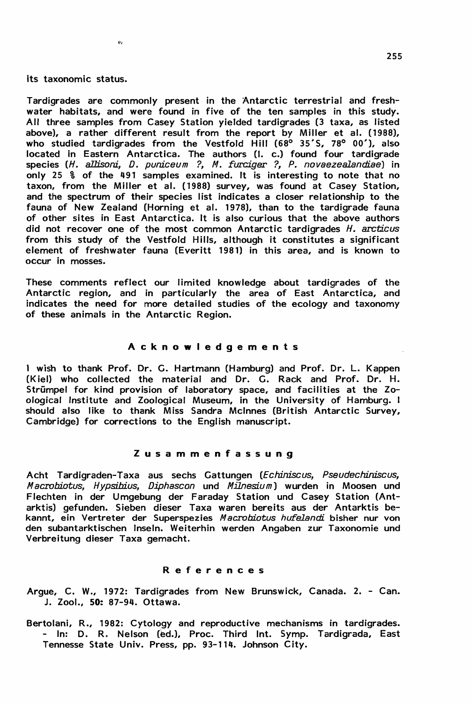# its taxonomic status.

ò,

Tardigrades are commonly present in the Antarctic terrestrial and freshwater habitats, and were found in five of the ten samples in this study. All three samples from Casey Station yielded tardigrades (3 taxa, as listed above), a rather different result from the report by Miller et al. (1988), who studied tardigrades from the Vestfold Hill  $(68^{\circ}$  35'S, 78° 00'), also located in Eastern Antarctica. The authors (I. c.) found four tardigrade species (H. allisoni, D. puniceum ?, M. furciger ?, P. novaezealandiae) in only 25 % of the 491 samples examined. It is interesting to note that no taxon, from the Miller et al. (1988) survey, was found at Casey Station, and the spectrum of their species Iist indicates a closer relationship to the fauna of New Zealand (Horning et al. 1978), than to the tardigrade fauna of other sites in East Antarctica. It is also curious that the above authors did not recover one of the most common Antarctic tardigrades H. arcticus from this study of the Vestfold Hills, although it constitutes a significant element of freshwater fauna (Everitt 1981) in this area, and is known to occur in mosses.

These comments reflect our limited knowledge about tardigrades of the Antarctic region, and in particularly the area of East Antarctica, and indicates the need for more detailed studies of the ecology and taxonomy of these animals in the Antarctic Region.

# Acknowledgements

1 wish to thank Prof. Dr. G. Hartmann (Hamburg) and Prof. Dr. L. Kappen (Kiel) who collected the material and Dr. G. Rack and Prof. Dr. H. Strümpel for kind provision of laboratory space, and facilities at the Zoological Institute and Zoological Museum, in the University of Hamburg. I should also like to thank Miss Sandra Mclnnes (British Antarctic Survey, Cambridge) for corrections to the English manuscript.

#### Zusammenfassung

Acht Tardigraden-Taxa aus sechs Gattungen (Echiniscus, Pseudechiniscus, Macrobiotus, Hypsibius, Diphascon und Milnesium) wurden in Moosen und Flechten in der Umgebung der Faraday Station und Casey Station (Antarktis) gefunden. Sieben dieser Taxa waren bereits aus der Antarktis bekannt, ein Vertreter der Superspezies Macrobiotus hufelandi bisher nur von den subantarktischen Inseln. Weiterhin werden Angaben zur Taxonomie und Verbreitung dieser Taxa gemacht.

#### References

Argue, C. W., 1972: Tardigrades from New Brunswick, Canada. 2. - Can. J. Zool., 50: 87-94. Ottawa.

Bertolani, R., 1982: Cytology and reproductive mechanisms in tardigrades. - In: D. R. Nelson (ed.), Proc. Third Int. Symp. Tardigrada, East Tennesse State Univ. Press, pp. 93-114. Johnson City.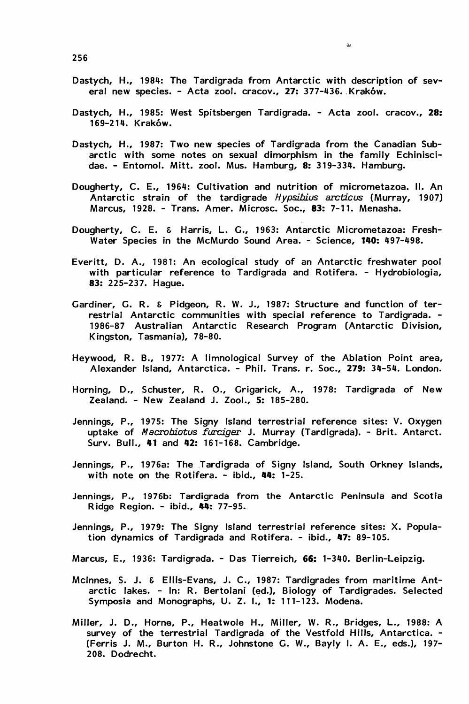Dastych, H., 1984: The Tardigrada from Antarctic with description of several new species. - Acta zool. cracov., 27: 377-436. Kraków.

 $\mathbf{r}$ 

- Dastych, H., 1985: West Spitsbergen Tardigrada. Acta zool. cracov., 28: 169-214. Krakow.
- Dastych, H., 1987: Two new species of Tardigrada from the Canadian Subarctic with some notes on sexual dimorphism in the family Echiniscidae. - Entomol. Mitt. zool. Mus. Hamburg, 8: 319-334. Hamburg.
- Dougherty, C. E., 1964: Cultivation and nutrition of micrometazoa. 11. An Antarctic strain of the tardigrade Hypsibius arcticus (Murray, 1907) Marcus, 1928. - Trans. Amer. Microsc. Soc., 83: 7-11. Menasha.
- Dougherty, C. E. & Harris, L. G., 1963: Antarctic Micrometazoa: Fresh-Water Species in the McMurdo Sound Area. - Science, 1110: 497-498.
- Everitt, D. A., 1981: An ecological study of an Antarctic freshwater pool with particular reference to Tardigrada and Rotifera. - Hydrobiologia, 83: 225-237. Hague.
- Gardiner, G. R. & Pidgeon, R. W. J., 1987: Structure and function of terrestrial Antarctic communities with special reference to Tardigrada. - 1986-87 Australian Antarctic Research Program (Antarctic Division, Kingston, Tasmania), 78-80.
- Heywood, R. B., 1977: A limnological Survey of the Ablation Point area, Alexander Island, Antarctica. - Phil. Trans. r. Soc., 279: 34-54. London.
- Horning, D., Schuster, R. 0., Grigarick, A., 1978: Tardigrada of New Zealand. - New Zealand J. Zool., 5: 185-280.
- Jennings, P., 1975: The Signy Island terrestrial reference sites: V. Oxygen uptake of *Macrobiotus furciger* J. Murray (Tardigrada). - Brit. Antarct. Surv. Bull., 41 and 42: 161-168. Cambridge.
- Jennings, P., 1976a: The Tardigrada of Signy Island, South Orkney Islands, with note on the Rotifera.  $-$  ibid.,  $44: 1-25$ .
- Jennings, P., 1976b: Tardigrada from the Antarctic Peninsula and Scotia Ridge Region. - ibid., 44: 77-95.
- Jennings, P., 1979: The Signy Island terrestrial reference sites: X. Population dynamics of Tardigrada and Rotifera. - ibid., 47: 89-105.
- Marcus, E., 1936: Tardigrada. Das Tierreich, 66: 1-340. Berlin-Leipzig.
- Mclnnes, S. J. & Ellis-Evans, J. C., 1987: Tardigrades from maritime Antarctic lakes. - In: R. Bertolani (ed.), Biology of Tardigrades. Selected Symposia and Monographs, U. Z. I., 1: 111-123. Modena.
- Miller, J. D., Horne, P., Heatwole H., Miller, W. R., Bridges, L., 1988: A survey of the terrestrial Tardigrada of the Vestfold Hills, Antarctica. -(Ferris J. M., Burton H. R., Johnstone G. W., Bayly I. A. E., eds.), 197- 208. Dodrecht.